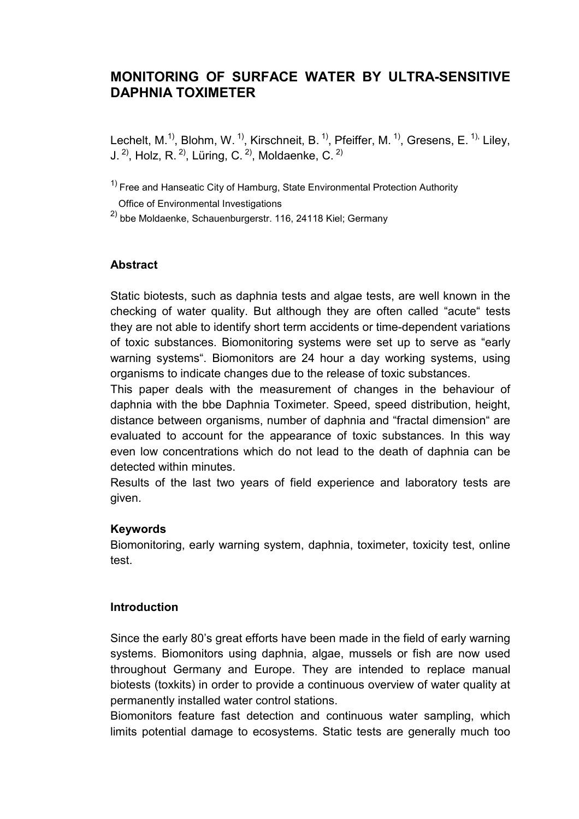## **MONITORING OF SURFACE WATER BY ULTRA-SENSITIVE DAPHNIA TOXIMETER**

Lechelt, M.<sup>1)</sup>, Blohm, W.<sup>1)</sup>, Kirschneit, B.<sup>1)</sup>, Pfeiffer, M.<sup>1)</sup>, Gresens, E.<sup>1),</sup> Liley, J.  $^{2)}$ , Holz, R.  $^{2)}$ , Lüring, C.  $^{2)}$ , Moldaenke, C.  $^{2)}$ 

 $1)$  Free and Hanseatic City of Hamburg, State Environmental Protection Authority

Office of Environmental Investigations

 $^{2)}$  bbe Moldaenke, Schauenburgerstr. 116, 24118 Kiel; Germany

## **Abstract**

Static biotests, such as daphnia tests and algae tests, are well known in the checking of water quality. But although they are often called "acute" tests they are not able to identify short term accidents or time-dependent variations of toxic substances. Biomonitoring systems were set up to serve as "early warning systems". Biomonitors are 24 hour a day working systems, using organisms to indicate changes due to the release of toxic substances.

This paper deals with the measurement of changes in the behaviour of daphnia with the bbe Daphnia Toximeter. Speed, speed distribution, height, distance between organisms, number of daphnia and "fractal dimension" are evaluated to account for the appearance of toxic substances. In this way even low concentrations which do not lead to the death of daphnia can be detected within minutes.

Results of the last two years of field experience and laboratory tests are given.

## **Keywords**

Biomonitoring, early warning system, daphnia, toximeter, toxicity test, online test.

## **Introduction**

Since the early 80's great efforts have been made in the field of early warning systems. Biomonitors using daphnia, algae, mussels or fish are now used throughout Germany and Europe. They are intended to replace manual biotests (toxkits) in order to provide a continuous overview of water quality at permanently installed water control stations.

Biomonitors feature fast detection and continuous water sampling, which limits potential damage to ecosystems. Static tests are generally much too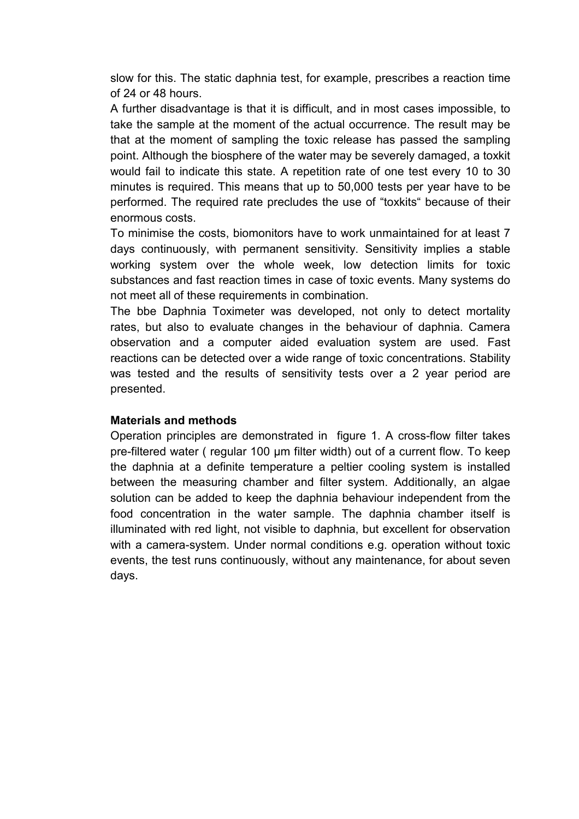slow for this. The static daphnia test, for example, prescribes a reaction time of 24 or 48 hours.

A further disadvantage is that it is difficult, and in most cases impossible, to take the sample at the moment of the actual occurrence. The result may be that at the moment of sampling the toxic release has passed the sampling point. Although the biosphere of the water may be severely damaged, a toxkit would fail to indicate this state. A repetition rate of one test every 10 to 30 minutes is required. This means that up to 50,000 tests per year have to be performed. The required rate precludes the use of "toxkits" because of their enormous costs.

To minimise the costs, biomonitors have to work unmaintained for at least 7 days continuously, with permanent sensitivity. Sensitivity implies a stable working system over the whole week, low detection limits for toxic substances and fast reaction times in case of toxic events. Many systems do not meet all of these requirements in combination.

The bbe Daphnia Toximeter was developed, not only to detect mortality rates, but also to evaluate changes in the behaviour of daphnia. Camera observation and a computer aided evaluation system are used. Fast reactions can be detected over a wide range of toxic concentrations. Stability was tested and the results of sensitivity tests over a 2 year period are presented.

## **Materials and methods**

Operation principles are demonstrated in figure 1. A cross-flow filter takes pre-filtered water ( regular 100 µm filter width) out of a current flow. To keep the daphnia at a definite temperature a peltier cooling system is installed between the measuring chamber and filter system. Additionally, an algae solution can be added to keep the daphnia behaviour independent from the food concentration in the water sample. The daphnia chamber itself is illuminated with red light, not visible to daphnia, but excellent for observation with a camera-system. Under normal conditions e.g. operation without toxic events, the test runs continuously, without any maintenance, for about seven days.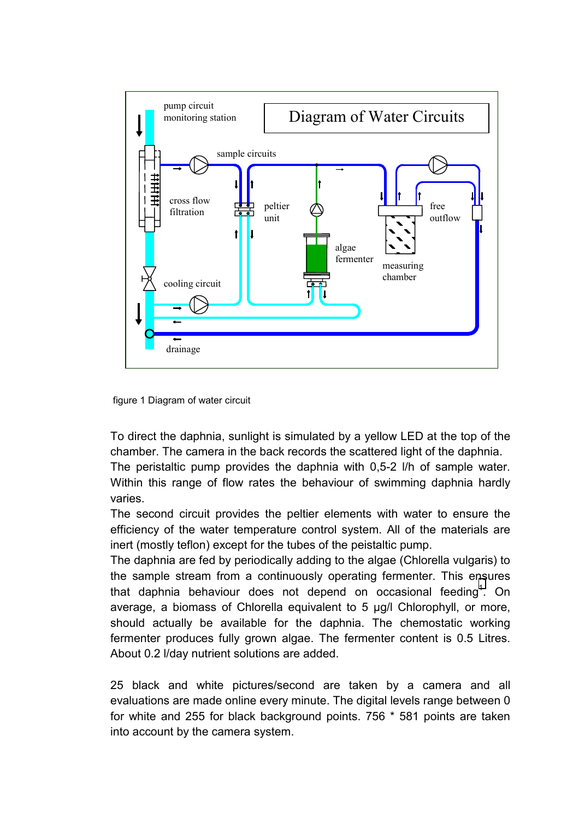

figure 1 Diagram of water circuit

To direct the daphnia, sunlight is simulated by a yellow LED at the top of the chamber. The camera in the back records the scattered light of the daphnia.

The peristaltic pump provides the daphnia with 0,5-2 l/h of sample water. Within this range of flow rates the behaviour of swimming daphnia hardly varies.

The second circuit provides the peltier elements with water to ensure the efficiency of the water temperature control system. All of the materials are inert (mostly teflon) except for the tubes of the peistaltic pump.

The daphnia are fed by periodically adding to the algae (Chlorella vulgaris) to the sample stream from a continuously operating fermenter. This e[ns](#page-20-0)ures that daphnia behaviour does not depend on occasional feeding<sup>1</sup>. On average, a biomass of Chlorella equivalent to 5 µg/l Chlorophyll, or more, should actually be available for the daphnia. The chemostatic working fermenter produces fully grown algae. The fermenter content is 0.5 Litres. About 0.2 l/day nutrient solutions are added.

25 black and white pictures/second are taken by a camera and all evaluations are made online every minute. The digital levels range between 0 for white and 255 for black background points. 756 \* 581 points are taken into account by the camera system.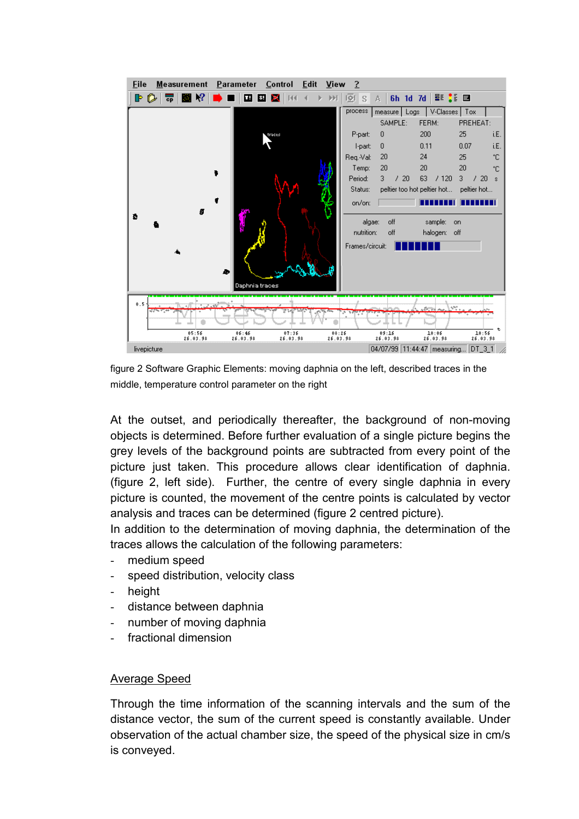

figure 2 Software Graphic Elements: moving daphnia on the left, described traces in the middle, temperature control parameter on the right

At the outset, and periodically thereafter, the background of non-moving objects is determined. Before further evaluation of a single picture begins the grey levels of the background points are subtracted from every point of the picture just taken. This procedure allows clear identification of daphnia. (figure 2, left side). Further, the centre of every single daphnia in every picture is counted, the movement of the centre points is calculated by vector analysis and traces can be determined (figure 2 centred picture).

In addition to the determination of moving daphnia, the determination of the traces allows the calculation of the following parameters:

- medium speed
- speed distribution, velocity class
- height
- distance between daphnia
- number of moving daphnia
- fractional dimension

## Average Speed

Through the time information of the scanning intervals and the sum of the distance vector, the sum of the current speed is constantly available. Under observation of the actual chamber size, the speed of the physical size in cm/s is conveyed.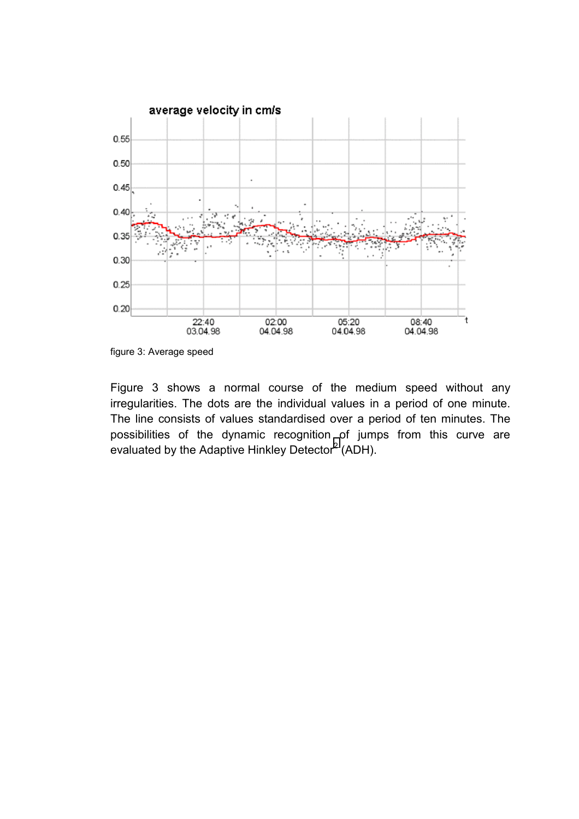

figure 3: Average speed

Figure 3 shows a normal course of the medium speed without any irregularities. The dots are the individual values in a period of one minute. The line consists of values standardised over a period of ten minutes. The possibilities of the dynamic recognition of jumps from this curve are evaluated by the Adaptive Hinkley Detector<sup>[2](#page-20-0)</sup> (ADH).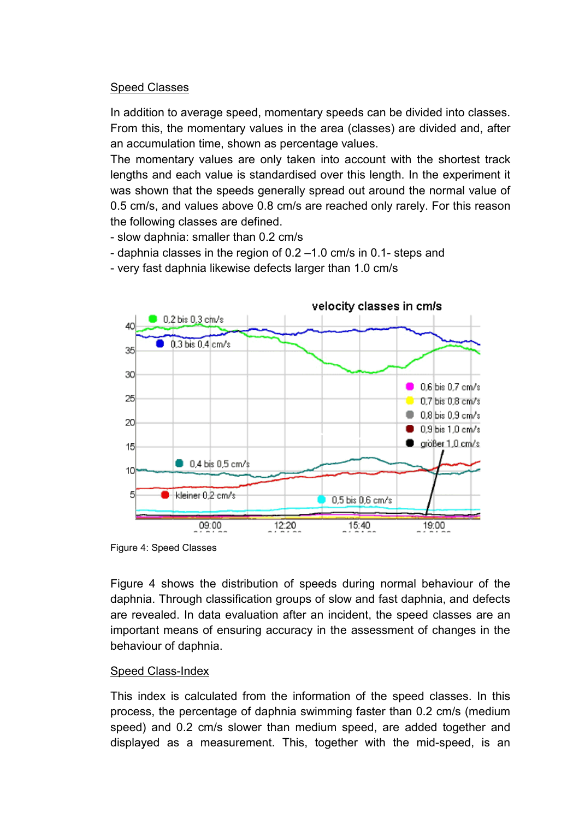## Speed Classes

In addition to average speed, momentary speeds can be divided into classes. From this, the momentary values in the area (classes) are divided and, after an accumulation time, shown as percentage values.

The momentary values are only taken into account with the shortest track lengths and each value is standardised over this length. In the experiment it was shown that the speeds generally spread out around the normal value of 0.5 cm/s, and values above 0.8 cm/s are reached only rarely. For this reason the following classes are defined.

- slow daphnia: smaller than 0.2 cm/s
- daphnia classes in the region of 0.2 –1.0 cm/s in 0.1- steps and
- very fast daphnia likewise defects larger than 1.0 cm/s



Figure 4: Speed Classes

Figure 4 shows the distribution of speeds during normal behaviour of the daphnia. Through classification groups of slow and fast daphnia, and defects are revealed. In data evaluation after an incident, the speed classes are an important means of ensuring accuracy in the assessment of changes in the behaviour of daphnia.

## Speed Class-Index

This index is calculated from the information of the speed classes. In this process, the percentage of daphnia swimming faster than 0.2 cm/s (medium speed) and 0.2 cm/s slower than medium speed, are added together and displayed as a measurement. This, together with the mid-speed, is an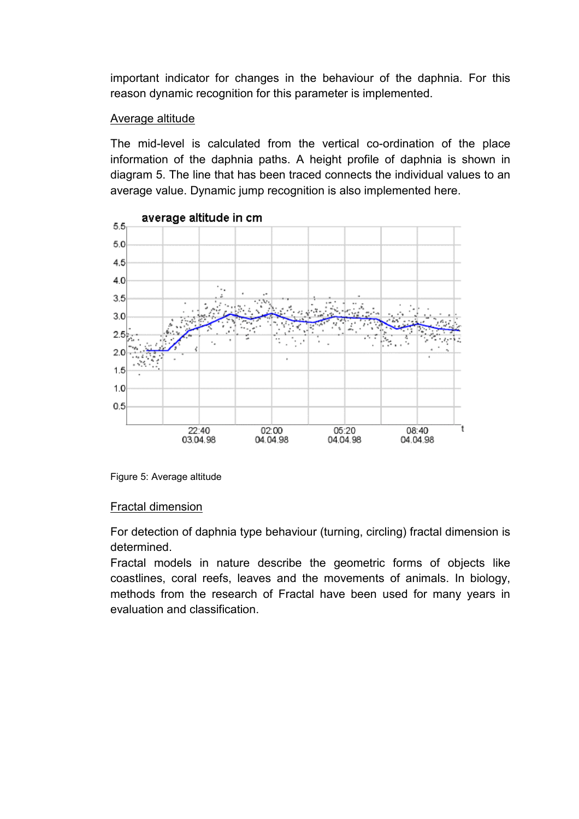important indicator for changes in the behaviour of the daphnia. For this reason dynamic recognition for this parameter is implemented.

## Average altitude

The mid-level is calculated from the vertical co-ordination of the place information of the daphnia paths. A height profile of daphnia is shown in diagram 5. The line that has been traced connects the individual values to an average value. Dynamic jump recognition is also implemented here.



Figure 5: Average altitude

## Fractal dimension

For detection of daphnia type behaviour (turning, circling) fractal dimension is determined.

Fractal models in nature describe the geometric forms of objects like coastlines, coral reefs, leaves and the movements of animals. In biology, methods from the research of Fractal have been used for many years in evaluation and classification.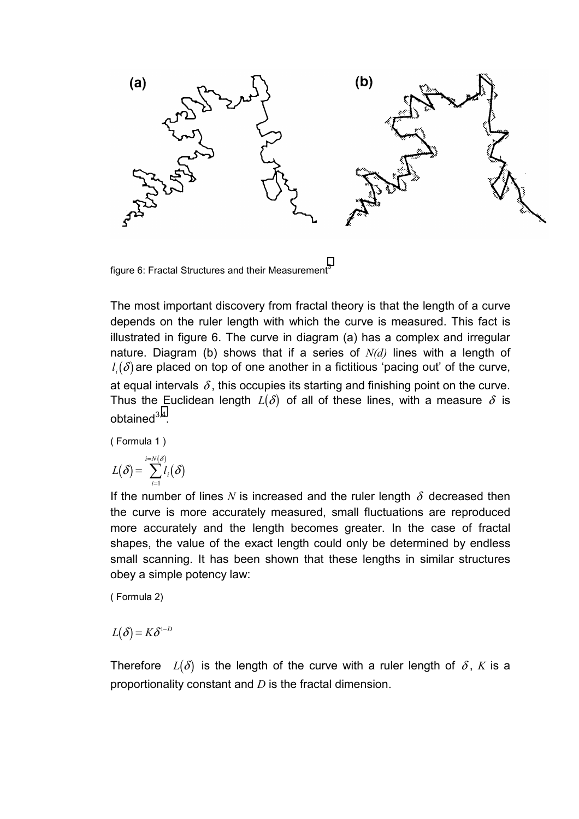

figure 6: Fractal Structures and their Measurement<sup>[3](#page-20-0)</sup>

The most important discovery from fractal theory is that the length of a curve depends on the ruler length with which the curve is measured. This fact is illustrated in figure 6. The curve in diagram (a) has a complex and irregular nature. Diagram (b) shows that if a series of *N(d)* lines with a length of  $l_i(\delta)$  are placed on top of one another in a fictitious 'pacing out' of the curve, at equal intervals  $\delta$ , this occupies its starting and finishing point on the curve. Thus the Euclidean length  $L(\delta)$  of all of these lines, with a measure  $\delta$  is obtained $3,4$ .

( Formula 1 )

$$
L(\delta) = \sum_{i=1}^{i=N(\delta)} l_i(\delta)
$$

If the number of lines *N* is increased and the ruler length  $\delta$  decreased then the curve is more accurately measured, small fluctuations are reproduced more accurately and the length becomes greater. In the case of fractal shapes, the value of the exact length could only be determined by endless small scanning. It has been shown that these lengths in similar structures obey a simple potency law:

( Formula 2)

 $L(\delta) = K\delta^{1-D}$ 

Therefore  $L(\delta)$  is the length of the curve with a ruler length of  $\delta$ , K is a proportionality constant and *D* is the fractal dimension.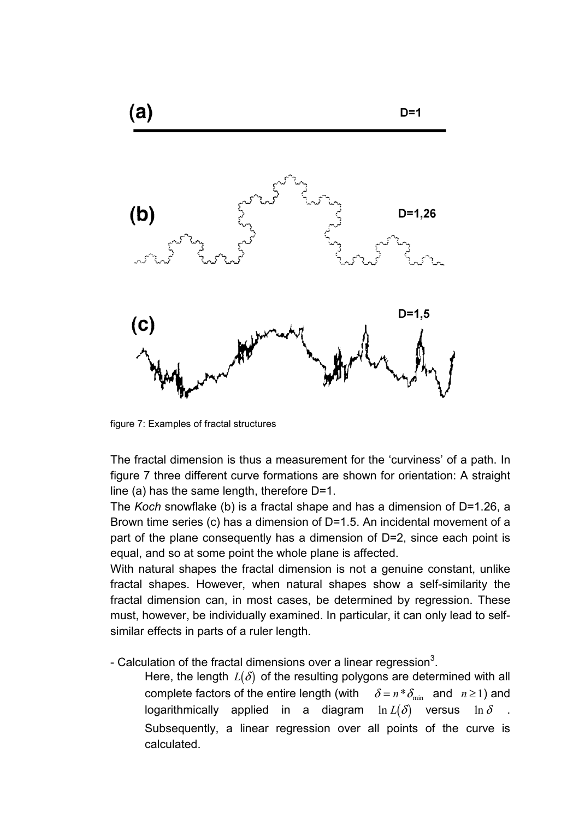

figure 7: Examples of fractal structures

The fractal dimension is thus a measurement for the 'curviness' of a path. In figure 7 three different curve formations are shown for orientation: A straight line (a) has the same length, therefore D=1.

The *Koch* snowflake (b) is a fractal shape and has a dimension of D=1.26, a Brown time series (c) has a dimension of D=1.5. An incidental movement of a part of the plane consequently has a dimension of D=2, since each point is equal, and so at some point the whole plane is affected.

With natural shapes the fractal dimension is not a genuine constant, unlike fractal shapes. However, when natural shapes show a self-similarity the fractal dimension can, in most cases, be determined by regression. These must, however, be individually examined. In particular, it can only lead to selfsimilar effects in parts of a ruler length.

- Calculation of the fractal dimensions over a linear regression<sup>3</sup>.

Here, the length  $L(\delta)$  of the resulting polygons are determined with all complete factors of the entire length (with  $\delta = n * \delta_{\min}$  and  $n \ge 1$ ) and logarithmically applied in a diagram  $\ln L(\delta)$  versus  $\ln \delta$ Subsequently, a linear regression over all points of the curve is calculated.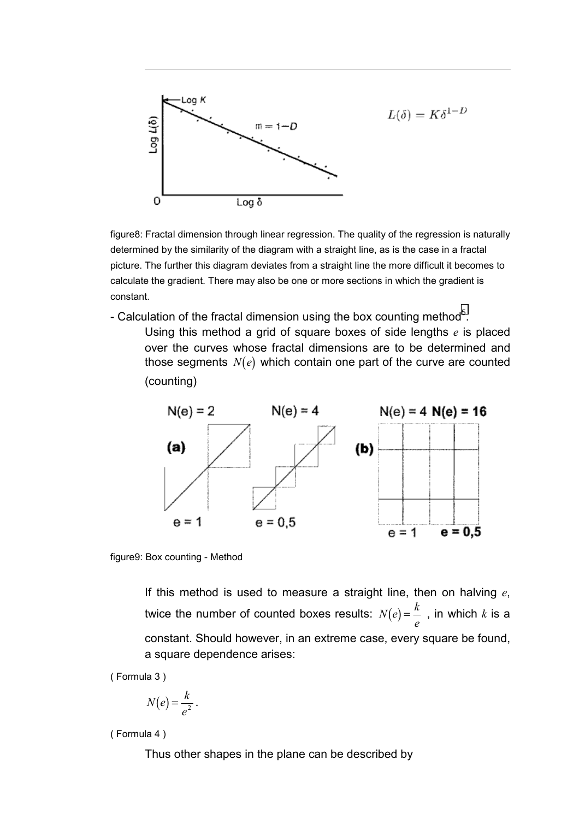

figure8: Fractal dimension through linear regression. The quality of the regression is naturally determined by the similarity of the diagram with a straight line, as is the case in a fractal picture. The further this diagram deviates from a straight line the more difficult it becomes to calculate the gradient. There may also be one or more sections in which the gradient is constant.

- Calculation of the fractal dimension using the box counting method<sup>5</sup>.
	- Using this method a grid of square boxes of side lengths *e* is placed over the curves whose fractal dimensions are to be determined and those segments  $N(e)$  which contain one part of the curve are counted (counting)



figure9: Box counting - Method

If this method is used to measure a straight line, then on halving *e*, twice the number of counted boxes results:  $N(e)$  =  $\frac{k}{e}$  , in which  $k$  is a constant. Should however, in an extreme case, every square be found, a square dependence arises:

( Formula 3 )

$$
N(e) = \frac{k}{e^2}.
$$

( Formula 4 )

Thus other shapes in the plane can be described by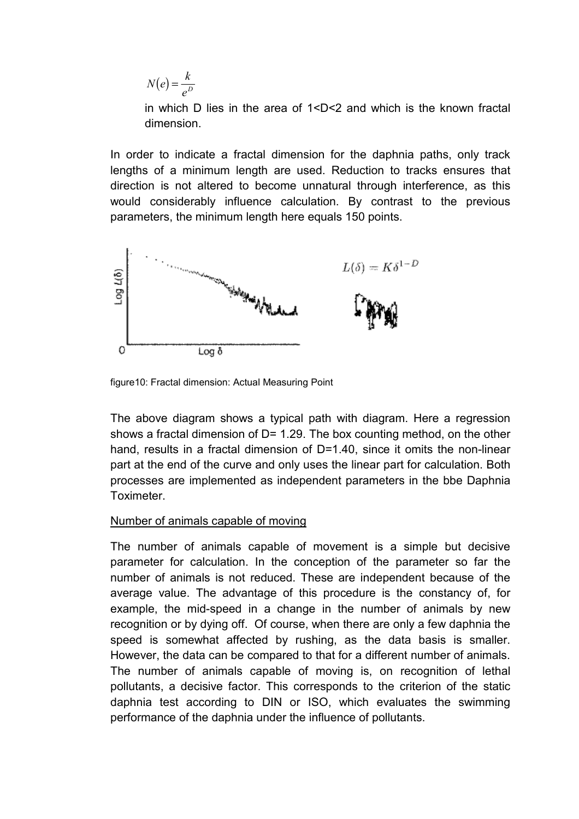$N(e) = \frac{k}{l}$  $=\frac{R}{e^{D}}$ 

in which D lies in the area of 1<D<2 and which is the known fractal dimension.

In order to indicate a fractal dimension for the daphnia paths, only track lengths of a minimum length are used. Reduction to tracks ensures that direction is not altered to become unnatural through interference, as this would considerably influence calculation. By contrast to the previous parameters, the minimum length here equals 150 points.



figure10: Fractal dimension: Actual Measuring Point

The above diagram shows a typical path with diagram. Here a regression shows a fractal dimension of D= 1.29. The box counting method, on the other hand, results in a fractal dimension of D=1.40, since it omits the non-linear part at the end of the curve and only uses the linear part for calculation. Both processes are implemented as independent parameters in the bbe Daphnia Toximeter.

## Number of animals capable of moving

The number of animals capable of movement is a simple but decisive parameter for calculation. In the conception of the parameter so far the number of animals is not reduced. These are independent because of the average value. The advantage of this procedure is the constancy of, for example, the mid-speed in a change in the number of animals by new recognition or by dying off. Of course, when there are only a few daphnia the speed is somewhat affected by rushing, as the data basis is smaller. However, the data can be compared to that for a different number of animals. The number of animals capable of moving is, on recognition of lethal pollutants, a decisive factor. This corresponds to the criterion of the static daphnia test according to DIN or ISO, which evaluates the swimming performance of the daphnia under the influence of pollutants.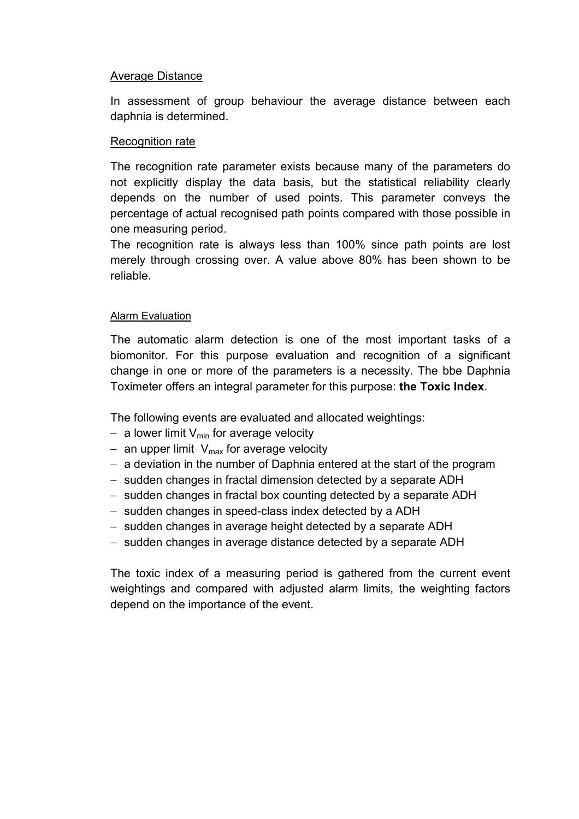## Average Distance

In assessment of group behaviour the average distance between each daphnia is determined.

## Recognition rate

The recognition rate parameter exists because many of the parameters do not explicitly display the data basis, but the statistical reliability clearly depends on the number of used points. This parameter conveys the percentage of actual recognised path points compared with those possible in one measuring period.

The recognition rate is always less than 100% since path points are lost merely through crossing over. A value above 80% has been shown to be reliable.

## Alarm Evaluation

The automatic alarm detection is one of the most important tasks of a biomonitor. For this purpose evaluation and recognition of a significant change in one or more of the parameters is a necessity. The bbe Daphnia Toximeter offers an integral parameter for this purpose: **the Toxic Index**.

The following events are evaluated and allocated weightings:

- − a lower limit V<sub>min</sub> for average velocity
- − an upper limit V<sub>max</sub> for average velocity
- − a deviation in the number of Daphnia entered at the start of the program
- − sudden changes in fractal dimension detected by a separate ADH
- − sudden changes in fractal box counting detected by a separate ADH
- − sudden changes in speed-class index detected by a ADH
- − sudden changes in average height detected by a separate ADH
- − sudden changes in average distance detected by a separate ADH

The toxic index of a measuring period is gathered from the current event weightings and compared with adjusted alarm limits, the weighting factors depend on the importance of the event.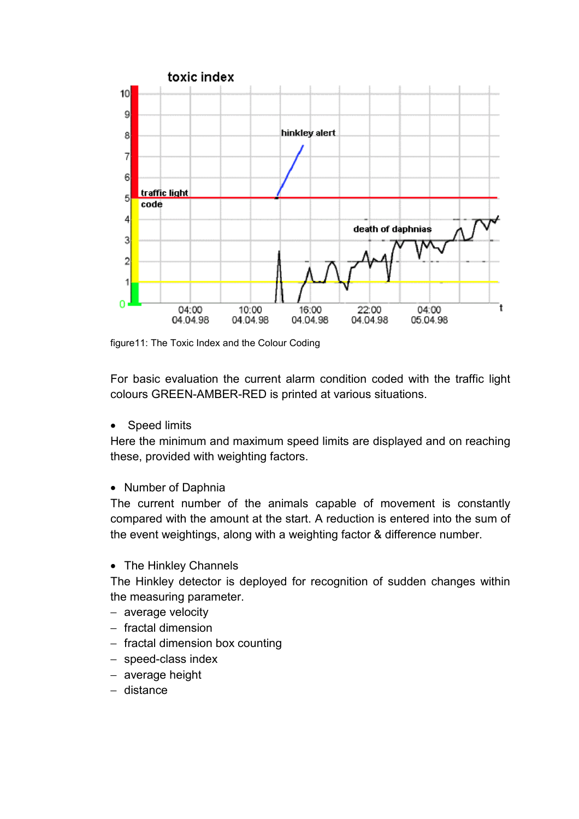

figure11: The Toxic Index and the Colour Coding

For basic evaluation the current alarm condition coded with the traffic light colours GREEN-AMBER-RED is printed at various situations.

• Speed limits

Here the minimum and maximum speed limits are displayed and on reaching these, provided with weighting factors.

## • Number of Daphnia

The current number of the animals capable of movement is constantly compared with the amount at the start. A reduction is entered into the sum of the event weightings, along with a weighting factor & difference number.

• The Hinkley Channels

The Hinkley detector is deployed for recognition of sudden changes within the measuring parameter.

- − average velocity
- − fractal dimension
- − fractal dimension box counting
- − speed-class index
- − average height
- − distance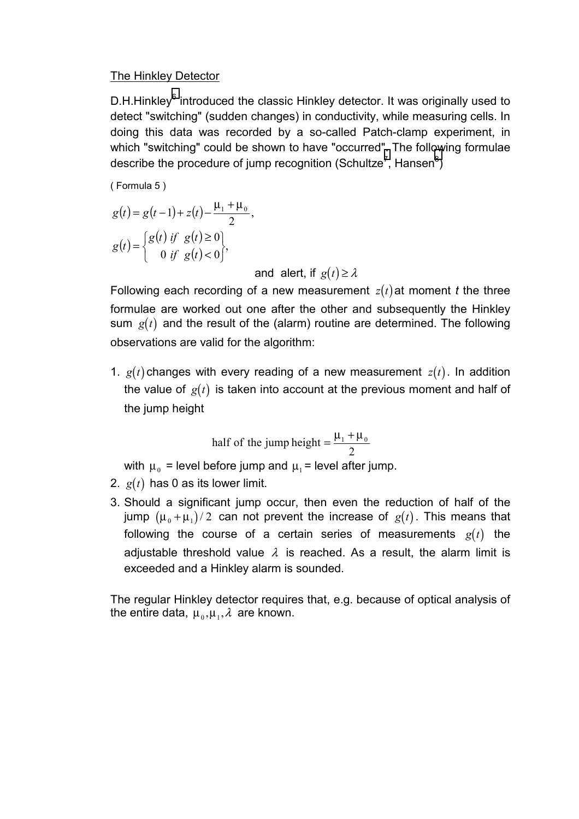## The Hinkley Detector

D.H.Hinkley<sup>[6](#page-20-0)</sup> introduced the classic Hinkley detector. It was originally used to detect "switching" (sudden changes) in conductivity, while measuring cells. In doing this data was recorded by a so-called Patch-clamp experiment, in which "switching" could be shown to have "occurred[".](#page-20-0) The foll[ow](#page-20-0)ing formulae describe the procedure of jump recognition (Schultze<sup>7</sup>, Hansen<sup>8</sup>)

( Formula 5 )

$$
g(t) = g(t-1) + z(t) - \frac{\mu_1 + \mu_0}{2},
$$
  

$$
g(t) = \begin{cases} g(t) & \text{if } g(t) \ge 0 \\ 0 & \text{if } g(t) < 0 \end{cases},
$$

and alert, if  $g(t) \geq \lambda$ 

Following each recording of a new measurement  $z(t)$  at moment *t* the three formulae are worked out one after the other and subsequently the Hinkley sum  $g(t)$  and the result of the (alarm) routine are determined. The following observations are valid for the algorithm:

1.  $g(t)$  changes with every reading of a new measurement  $z(t)$ . In addition the value of  $g(t)$  is taken into account at the previous moment and half of the jump height

half of the jump height = 
$$
\frac{\mu_1 + \mu_0}{2}
$$

with  $\mu_0$  = level before jump and  $\mu_1$  = level after jump.

- 2.  $g(t)$  has 0 as its lower limit.
- 3. Should a significant jump occur, then even the reduction of half of the jump  $(\mu_0 + \mu_1)/2$  can not prevent the increase of  $g(t)$ . This means that following the course of a certain series of measurements  $g(t)$  the adjustable threshold value  $\lambda$  is reached. As a result, the alarm limit is exceeded and a Hinkley alarm is sounded.

The regular Hinkley detector requires that, e.g. because of optical analysis of the entire data,  $\mu_0, \mu_1, \lambda$  are known.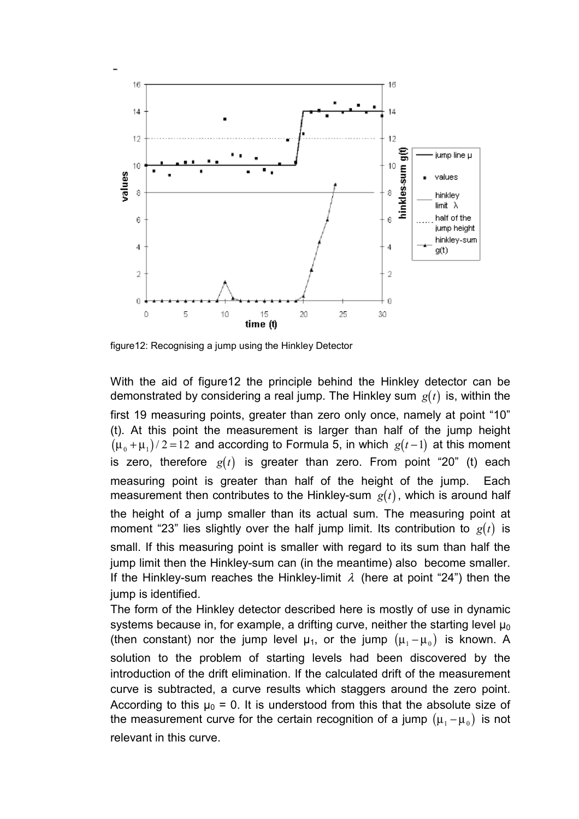

figure12: Recognising a jump using the Hinkley Detector

With the aid of figure12 the principle behind the Hinkley detector can be demonstrated by considering a real jump. The Hinkley sum  $g(t)$  is, within the first 19 measuring points, greater than zero only once, namely at point "10" (t). At this point the measurement is larger than half of the jump height  $(\mu_0 + \mu_1)/2 = 12$  and according to Formula 5, in which  $g(t-1)$  at this moment is zero, therefore  $g(t)$  is greater than zero. From point "20" (t) each measuring point is greater than half of the height of the jump. Each measurement then contributes to the Hinkley-sum  $g(t)$ , which is around half the height of a jump smaller than its actual sum. The measuring point at moment "23" lies slightly over the half jump limit. Its contribution to  $g(t)$  is small. If this measuring point is smaller with regard to its sum than half the jump limit then the Hinkley-sum can (in the meantime) also become smaller. If the Hinkley-sum reaches the Hinkley-limit  $\lambda$  (here at point "24") then the jump is identified.

The form of the Hinkley detector described here is mostly of use in dynamic systems because in, for example, a drifting curve, neither the starting level  $\mu_0$ (then constant) nor the jump level  $\mu_1$ , or the jump  $(\mu_1 - \mu_0)$  is known. A solution to the problem of starting levels had been discovered by the introduction of the drift elimination. If the calculated drift of the measurement curve is subtracted, a curve results which staggers around the zero point. According to this  $\mu_0 = 0$ . It is understood from this that the absolute size of the measurement curve for the certain recognition of a jump  $(\mu_1 - \mu_0)$  is not relevant in this curve.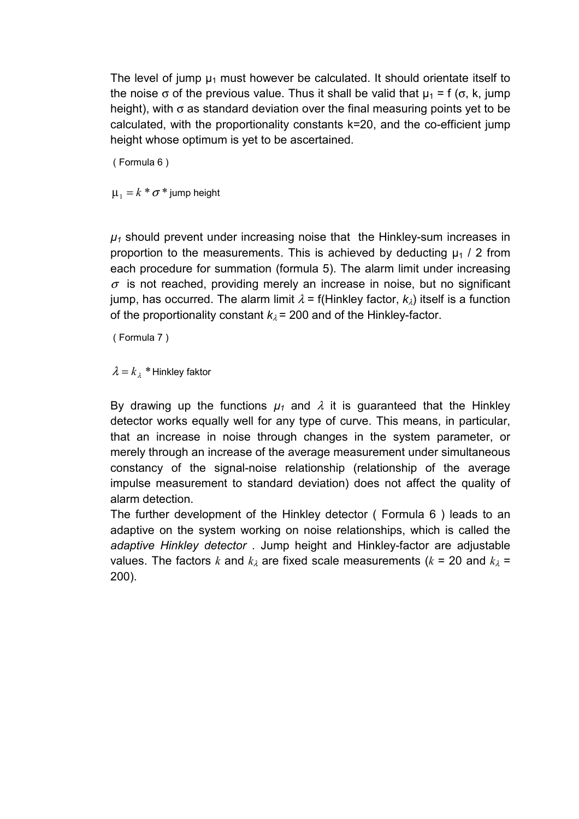The level of jump  $\mu_1$  must however be calculated. It should orientate itself to the noise  $\sigma$  of the previous value. Thus it shall be valid that  $\mu_1 = f(\sigma, k, jump)$ height), with  $\sigma$  as standard deviation over the final measuring points yet to be calculated, with the proportionality constants k=20, and the co-efficient jump height whose optimum is yet to be ascertained.

( Formula 6 )

 $\mu_1 = k * \sigma *$  jump height

 $\mu_1$  should prevent under increasing noise that the Hinkley-sum increases in proportion to the measurements. This is achieved by deducting  $\mu_1$  / 2 from each procedure for summation (formula 5). The alarm limit under increasing  $\sigma$  is not reached, providing merely an increase in noise, but no significant jump, has occurred. The alarm limit  $\lambda = f(Hinkley factor, k_{\lambda})$  itself is a function of the proportionality constant  $k_{\lambda}$  = 200 and of the Hinkley-factor.

( Formula 7 )

 $\lambda = k_{\lambda}$  \* Hinkley faktor

By drawing up the functions  $\mu_1$  and  $\lambda$  it is guaranteed that the Hinkley detector works equally well for any type of curve. This means, in particular, that an increase in noise through changes in the system parameter, or merely through an increase of the average measurement under simultaneous constancy of the signal-noise relationship (relationship of the average impulse measurement to standard deviation) does not affect the quality of alarm detection.

The further development of the Hinkley detector ( Formula 6 ) leads to an adaptive on the system working on noise relationships, which is called the *adaptive Hinkley detector* . Jump height and Hinkley-factor are adjustable values. The factors *k* and  $k_{\lambda}$  are fixed scale measurements ( $k = 20$  and  $k_{\lambda} =$ 200).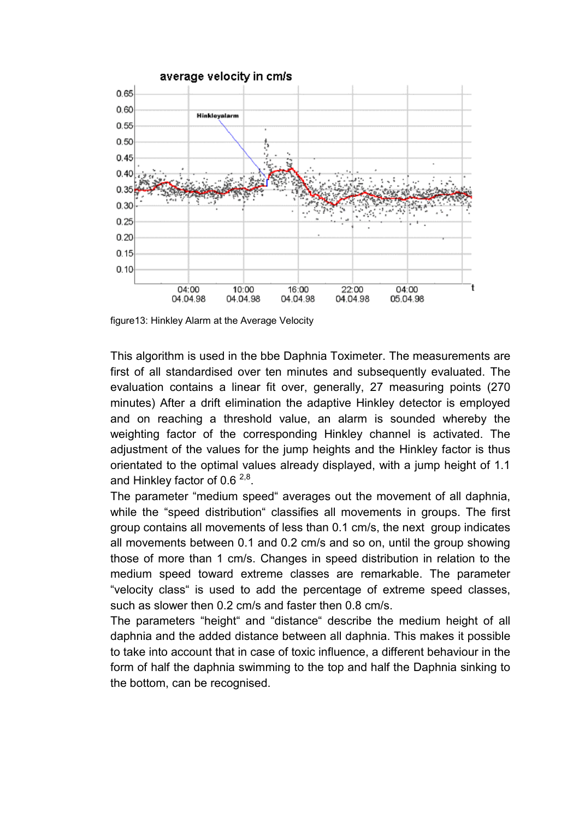

figure13: Hinkley Alarm at the Average Velocity

This algorithm is used in the bbe Daphnia Toximeter. The measurements are first of all standardised over ten minutes and subsequently evaluated. The evaluation contains a linear fit over, generally, 27 measuring points (270 minutes) After a drift elimination the adaptive Hinkley detector is employed and on reaching a threshold value, an alarm is sounded whereby the weighting factor of the corresponding Hinkley channel is activated. The adjustment of the values for the jump heights and the Hinkley factor is thus orientated to the optimal values already displayed, with a jump height of 1.1 and Hinkley factor of 0.6  $^{2,8}$ .

The parameter "medium speed" averages out the movement of all daphnia, while the "speed distribution" classifies all movements in groups. The first group contains all movements of less than 0.1 cm/s, the next group indicates all movements between 0.1 and 0.2 cm/s and so on, until the group showing those of more than 1 cm/s. Changes in speed distribution in relation to the medium speed toward extreme classes are remarkable. The parameter "velocity class" is used to add the percentage of extreme speed classes, such as slower then 0.2 cm/s and faster then 0.8 cm/s.

The parameters "height" and "distance" describe the medium height of all daphnia and the added distance between all daphnia. This makes it possible to take into account that in case of toxic influence, a different behaviour in the form of half the daphnia swimming to the top and half the Daphnia sinking to the bottom, can be recognised.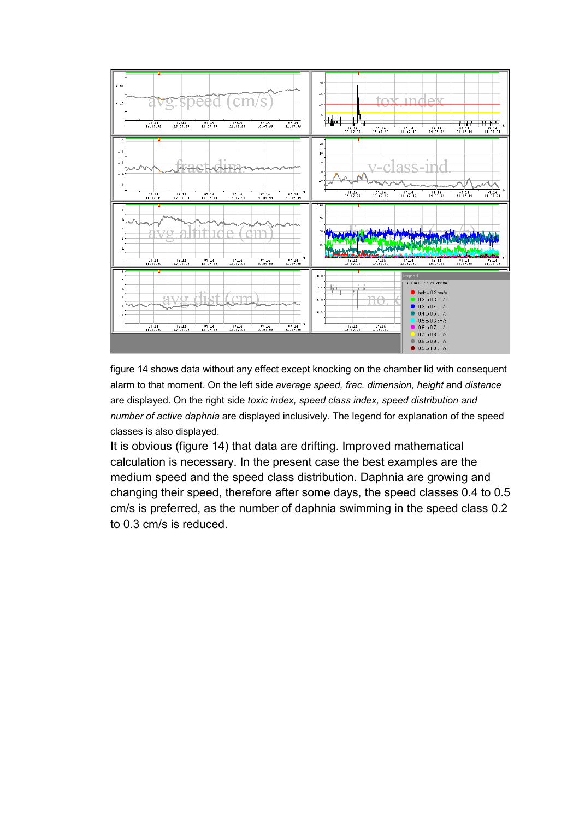

figure 14 shows data without any effect except knocking on the chamber lid with consequent alarm to that moment. On the left side *average speed, frac. dimension, height* and *distance*  are displayed. On the right side *toxic index, speed class index, speed distribution and number of active daphnia* are displayed inclusively. The legend for explanation of the speed classes is also displayed.

It is obvious (figure 14) that data are drifting. Improved mathematical calculation is necessary. In the present case the best examples are the medium speed and the speed class distribution. Daphnia are growing and changing their speed, therefore after some days, the speed classes 0.4 to 0.5 cm/s is preferred, as the number of daphnia swimming in the speed class 0.2 to 0.3 cm/s is reduced.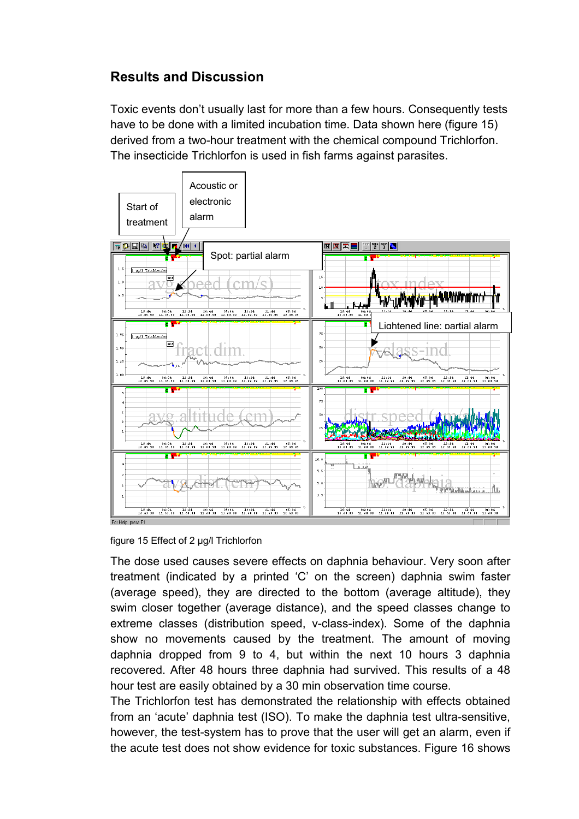# **Results and Discussion**

Toxic events don't usually last for more than a few hours. Consequently tests have to be done with a limited incubation time. Data shown here (figure 15) derived from a two-hour treatment with the chemical compound Trichlorfon. The insecticide Trichlorfon is used in fish farms against parasites.



figure 15 Effect of 2 µg/l Trichlorfon

The dose used causes severe effects on daphnia behaviour. Very soon after treatment (indicated by a printed 'C' on the screen) daphnia swim faster (average speed), they are directed to the bottom (average altitude), they swim closer together (average distance), and the speed classes change to extreme classes (distribution speed, v-class-index). Some of the daphnia show no movements caused by the treatment. The amount of moving daphnia dropped from 9 to 4, but within the next 10 hours 3 daphnia recovered. After 48 hours three daphnia had survived. This results of a 48 hour test are easily obtained by a 30 min observation time course.

The Trichlorfon test has demonstrated the relationship with effects obtained from an 'acute' daphnia test (ISO). To make the daphnia test ultra-sensitive, however, the test-system has to prove that the user will get an alarm, even if the acute test does not show evidence for toxic substances. Figure 16 shows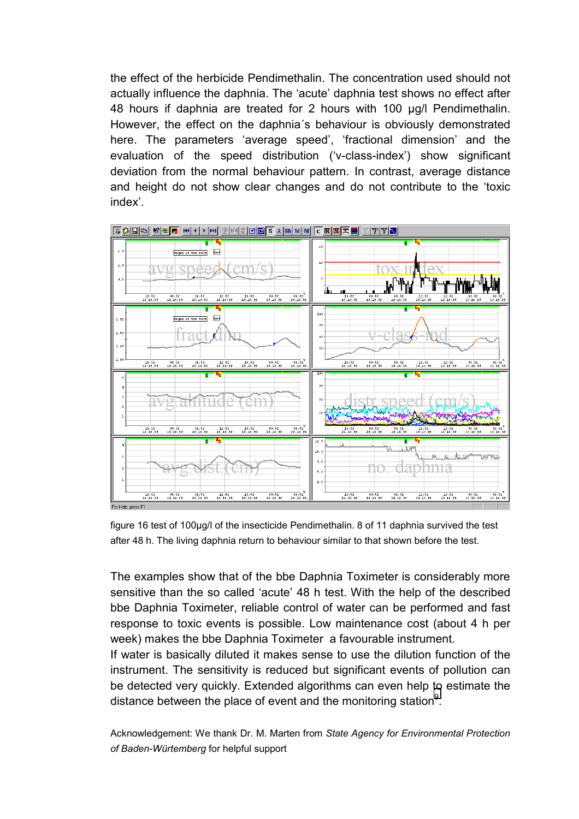the effect of the herbicide Pendimethalin. The concentration used should not actually influence the daphnia. The 'acute' daphnia test shows no effect after 48 hours if daphnia are treated for 2 hours with 100 µg/l Pendimethalin. However, the effect on the daphnia´s behaviour is obviously demonstrated here. The parameters 'average speed', 'fractional dimension' and the evaluation of the speed distribution ('v-class-index') show significant deviation from the normal behaviour pattern. In contrast, average distance and height do not show clear changes and do not contribute to the 'toxic index'.



figure 16 test of 100µg/l of the insecticide Pendimethalin. 8 of 11 daphnia survived the test after 48 h. The living daphnia return to behaviour similar to that shown before the test.

The examples show that of the bbe Daphnia Toximeter is considerably more sensitive than the so called 'acute' 48 h test. With the help of the described bbe Daphnia Toximeter, reliable control of water can be performed and fast response to toxic events is possible. Low maintenance cost (about 4 h per week) makes the bbe Daphnia Toximeter a favourable instrument.

If water is basically diluted it makes sense to use the dilution function of the instrument. The sensitivity is reduced but significant events of pollution can be detected very quickly. Extended algorithms can even help to estimate the distance between the place of event and the monitoring station<sup>9</sup>.

Acknowledgement: We thank Dr. M. Marten from *State Agency for Environmental Protection of Baden-Würtemberg* for helpful support